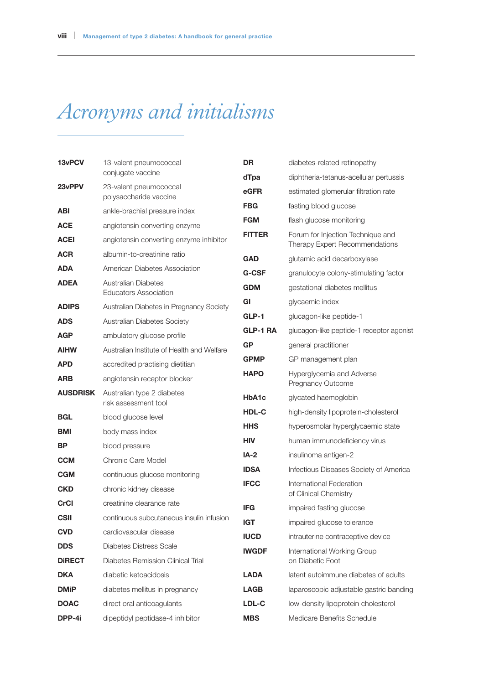## *Acronyms and initialisms*

| 13vPCV<br>23vPPV | 13-valent pneumococcal<br>conjugate vaccine         | <b>DR</b>     | diabetes-related retinopathy                                        |
|------------------|-----------------------------------------------------|---------------|---------------------------------------------------------------------|
|                  |                                                     | dTpa          | diphtheria-tetanus-acellular pertussis                              |
|                  | 23-valent pneumococcal<br>polysaccharide vaccine    | eGFR          | estimated glomerular filtration rate                                |
| ABI              | ankle-brachial pressure index                       | FBG           | fasting blood glucose                                               |
| <b>ACE</b>       | angiotensin converting enzyme                       | <b>FGM</b>    | flash glucose monitoring                                            |
| <b>ACEI</b>      | angiotensin converting enzyme inhibitor             | <b>FITTER</b> | Forum for Injection Technique and<br>Therapy Expert Recommendations |
| <b>ACR</b>       | albumin-to-creatinine ratio                         | <b>GAD</b>    | glutamic acid decarboxylase                                         |
| <b>ADA</b>       | American Diabetes Association                       | <b>G-CSF</b>  | granulocyte colony-stimulating factor                               |
| <b>ADEA</b>      | Australian Diabetes<br><b>Educators Association</b> | <b>GDM</b>    | gestational diabetes mellitus                                       |
| <b>ADIPS</b>     | Australian Diabetes in Pregnancy Society            | GI            | glycaemic index                                                     |
| <b>ADS</b>       | Australian Diabetes Society                         | GLP-1         | glucagon-like peptide-1                                             |
| <b>AGP</b>       | ambulatory glucose profile                          | GLP-1 RA      | glucagon-like peptide-1 receptor agonist                            |
| <b>AIHW</b>      | Australian Institute of Health and Welfare          | <b>GP</b>     | general practitioner                                                |
| <b>APD</b>       | accredited practising dietitian                     | <b>GPMP</b>   | GP management plan                                                  |
| <b>ARB</b>       | angiotensin receptor blocker                        | <b>HAPO</b>   | Hyperglycemia and Adverse<br>Pregnancy Outcome                      |
| <b>AUSDRISK</b>  | Australian type 2 diabetes<br>risk assessment tool  | HbA1c         | glycated haemoglobin                                                |
| <b>BGL</b>       | blood glucose level                                 | HDL-C         | high-density lipoprotein-cholesterol                                |
| <b>BMI</b>       | body mass index                                     | HHS           | hyperosmolar hyperglycaemic state                                   |
| BP               | blood pressure                                      | <b>HIV</b>    | human immunodeficiency virus                                        |
| <b>CCM</b>       | Chronic Care Model                                  | IA-2          | insulinoma antigen-2                                                |
| <b>CGM</b>       | continuous glucose monitoring                       | <b>IDSA</b>   | Infectious Diseases Society of America                              |
| <b>CKD</b>       | chronic kidney disease                              | <b>IFCC</b>   | International Federation<br>of Clinical Chemistry                   |
| CrCl             | creatinine clearance rate                           | <b>IFG</b>    | impaired fasting glucose                                            |
| <b>CSII</b>      | continuous subcutaneous insulin infusion            | <b>IGT</b>    | impaired glucose tolerance                                          |
| <b>CVD</b>       | cardiovascular disease                              | <b>IUCD</b>   | intrauterine contraceptive device                                   |
| <b>DDS</b>       | <b>Diabetes Distress Scale</b>                      | <b>IWGDF</b>  | International Working Group                                         |
| <b>DIRECT</b>    | Diabetes Remission Clinical Trial                   |               | on Diabetic Foot                                                    |
| <b>DKA</b>       | diabetic ketoacidosis                               | <b>LADA</b>   | latent autoimmune diabetes of adults                                |
| <b>DMiP</b>      | diabetes mellitus in pregnancy                      | <b>LAGB</b>   | laparoscopic adjustable gastric banding                             |
| <b>DOAC</b>      | direct oral anticoagulants                          | LDL-C         | low-density lipoprotein cholesterol                                 |
| DPP-4i           | dipeptidyl peptidase-4 inhibitor                    | <b>MBS</b>    | Medicare Benefits Schedule                                          |